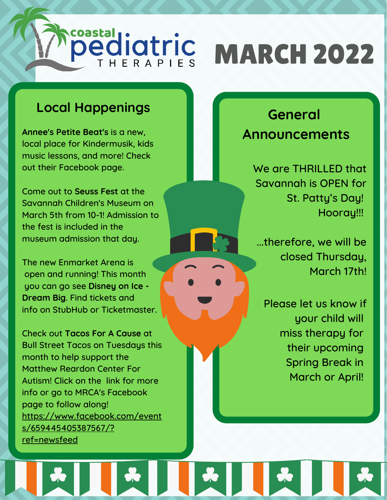## coastal **ediatric** MARCH 2022

### **Local Happenings**

**Annee's Petite Beat's** is a new, local place for Kindermusik, kids music lessons, and more! Check out their Facebook page.

Come out to **Seuss Fest** at the Savannah Children's Museum on March 5th from 10-1! Admission to the fest is included in the museum admission that day.

The new Enmarket Arena is open and running! This month you can go see **Disney on Ice - Dream Big**. Find tickets and info on StubHub or Ticketmaster.

Check out **Tacos For A Cause** at Bull Street Tacos on Tuesdays this month to help support the Matthew Reardon Center For Autism! Click on the link for more info or go to MRCA's Facebook page to follow along! https://www.facebook.com/event s/659445405387567/? ref=newsfeed

## **General Announcements**

We are THRILLED that Savannah is OPEN for St. Patty's Day! Hooray!!!

...therefore, we will be closed Thursday, March 17th!

Please let us know if your child will miss therapy for their upcoming Spring Break in March or April!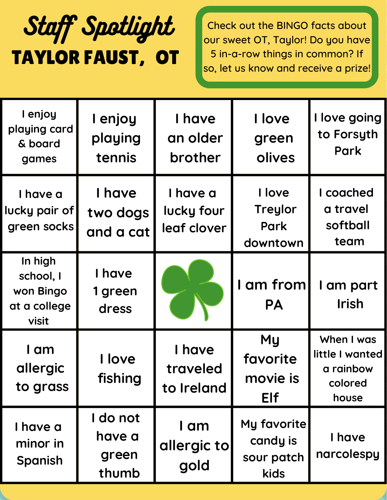# TAYLOR FAUST, OT Staff Spotlight

Check out the BINGO facts about our sweet OT, Taylor! Do you have 5 in-a-row things in common? If so, let us know and receive a prize!

| I enjoy<br>playing card<br>& board<br>games                | I enjoy<br>playing<br>tennis         | I have<br>an older<br>brother         | I love<br>green<br>olives                       | I love going<br>to Forsyth<br>Park                             |
|------------------------------------------------------------|--------------------------------------|---------------------------------------|-------------------------------------------------|----------------------------------------------------------------|
| I have a<br>lucky pair of<br>green socks                   | I have<br>two dogs<br>and a cat      | I have a<br>lucky four<br>leaf clover | I love<br><b>Treylor</b><br>Park<br>downtown    | I coached<br>a travel<br>softball<br>team                      |
| In high<br>school, I<br>won Bingo<br>at a college<br>visit | I have<br>1 green<br>dress           |                                       | I am from<br><b>PA</b>                          | I am part<br>Irish                                             |
| I am<br>allergic<br>to grass                               | I love<br>fishing                    | I have<br>traveled<br>to Ireland      | <b>My</b><br>favorite<br>movie is<br><b>Elf</b> | When I was<br>little I wanted<br>a rainbow<br>colored<br>house |
| I have a<br>minor in<br>Spanish                            | I do not<br>have a<br>green<br>thumb | I am<br>allergic to<br>gold           | My favorite<br>candy is<br>sour patch<br>kids   | I have<br>narcolespy                                           |